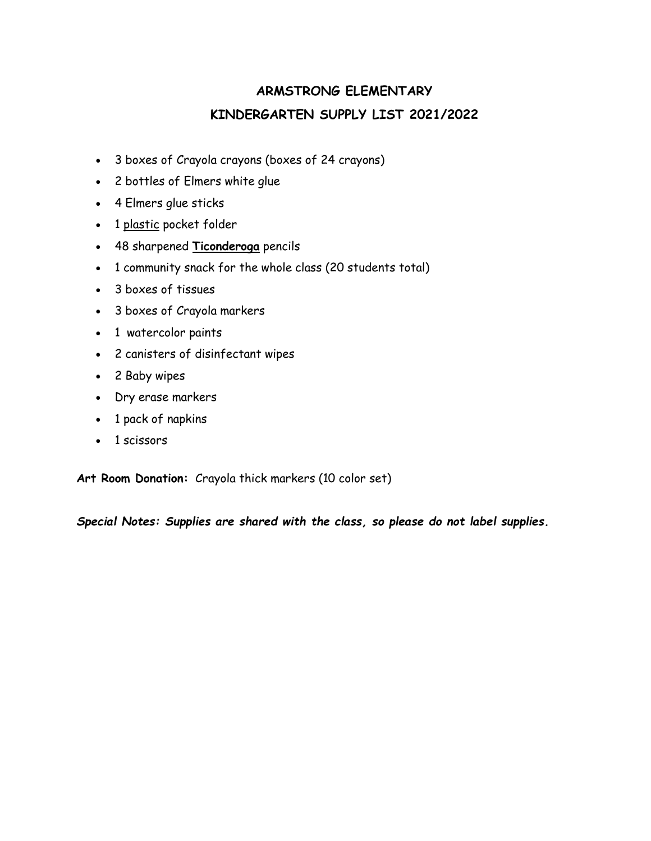# **ARMSTRONG ELEMENTARY KINDERGARTEN SUPPLY LIST 2021/2022**

- 3 boxes of Crayola crayons (boxes of 24 crayons)
- 2 bottles of Elmers white glue
- 4 Elmers glue sticks
- 1 plastic pocket folder
- 48 sharpened **Ticonderoga** pencils
- 1 community snack for the whole class (20 students total)
- 3 boxes of tissues
- 3 boxes of Crayola markers
- 1 watercolor paints
- 2 canisters of disinfectant wipes
- 2 Baby wipes
- Dry erase markers
- 1 pack of napkins
- 1 scissors

**Art Room Donation:** Crayola thick markers (10 color set)

*Special Notes: Supplies are shared with the class, so please do not label supplies.*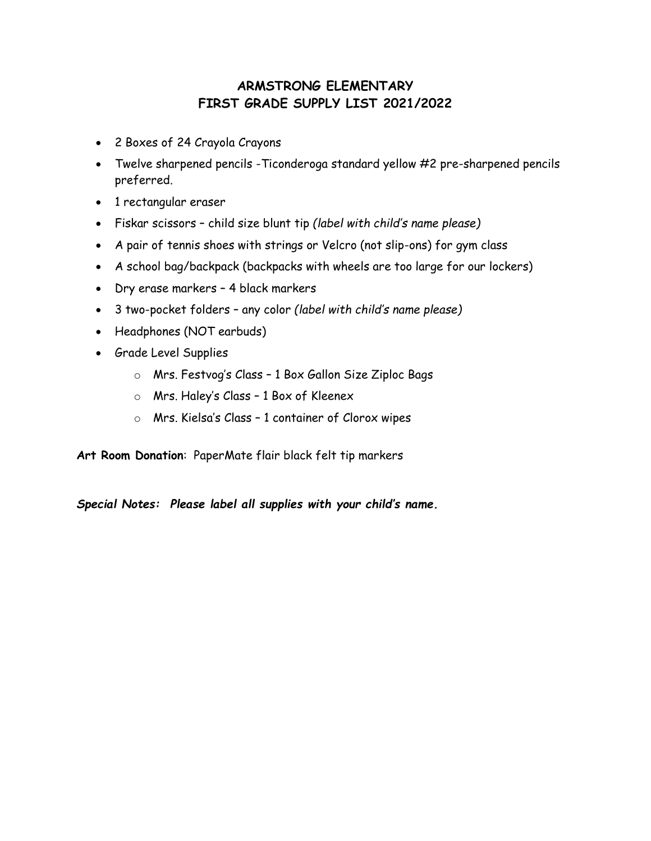#### **ARMSTRONG ELEMENTARY FIRST GRADE SUPPLY LIST 2021/2022**

- 2 Boxes of 24 Crayola Crayons
- Twelve sharpened pencils -Ticonderoga standard yellow #2 pre-sharpened pencils preferred.
- 1 rectangular eraser
- Fiskar scissors child size blunt tip *(label with child's name please)*
- A pair of tennis shoes with strings or Velcro (not slip-ons) for gym class
- A school bag/backpack (backpacks with wheels are too large for our lockers)
- Dry erase markers 4 black markers
- 3 two-pocket folders any color *(label with child's name please)*
- Headphones (NOT earbuds)
- Grade Level Supplies
	- o Mrs. Festvog's Class 1 Box Gallon Size Ziploc Bags
	- o Mrs. Haley's Class 1 Box of Kleenex
	- o Mrs. Kielsa's Class 1 container of Clorox wipes

**Art Room Donation**: PaperMate flair black felt tip markers

*Special Notes: Please label all supplies with your child's name.*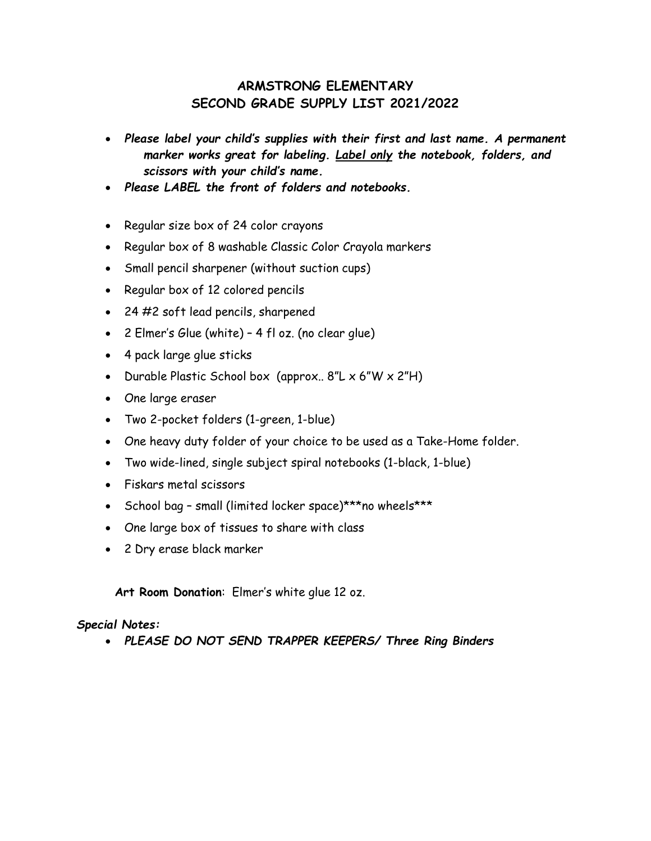#### **ARMSTRONG ELEMENTARY SECOND GRADE SUPPLY LIST 2021/2022**

- *Please label your child's supplies with their first and last name. A permanent marker works great for labeling. Label only the notebook, folders, and scissors with your child's name.*
- *Please LABEL the front of folders and notebooks.*
- Regular size box of 24 color crayons
- Regular box of 8 washable Classic Color Crayola markers
- Small pencil sharpener (without suction cups)
- Regular box of 12 colored pencils
- 24 #2 soft lead pencils, sharpened
- 2 Elmer's Glue (white) 4 fl oz. (no clear glue)
- 4 pack large glue sticks
- Durable Plastic School box (approx.. 8"L x 6"W x 2"H)
- One large eraser
- Two 2-pocket folders (1-green, 1-blue)
- One heavy duty folder of your choice to be used as a Take-Home folder.
- Two wide-lined, single subject spiral notebooks (1-black, 1-blue)
- Fiskars metal scissors
- School bag small (limited locker space)\*\*\*no wheels\*\*\*
- One large box of tissues to share with class
- 2 Dry erase black marker

**Art Room Donation**: Elmer's white glue 12 oz.

#### *Special Notes:*

• *PLEASE DO NOT SEND TRAPPER KEEPERS/ Three Ring Binders*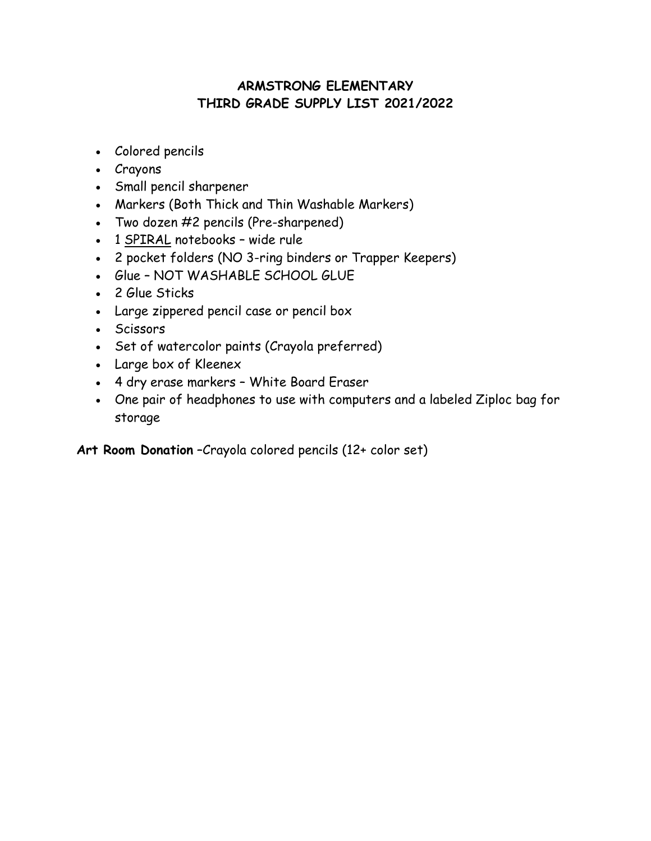## **ARMSTRONG ELEMENTARY THIRD GRADE SUPPLY LIST 2021/2022**

- Colored pencils
- Crayons
- Small pencil sharpener
- Markers (Both Thick and Thin Washable Markers)
- Two dozen #2 pencils (Pre-sharpened)
- 1 SPIRAL notebooks wide rule
- 2 pocket folders (NO 3-ring binders or Trapper Keepers)
- Glue NOT WASHABLE SCHOOL GLUE
- 2 Glue Sticks
- Large zippered pencil case or pencil box
- Scissors
- Set of watercolor paints (Crayola preferred)
- Large box of Kleenex
- 4 dry erase markers White Board Eraser
- One pair of headphones to use with computers and a labeled Ziploc bag for storage

**Art Room Donation** –Crayola colored pencils (12+ color set)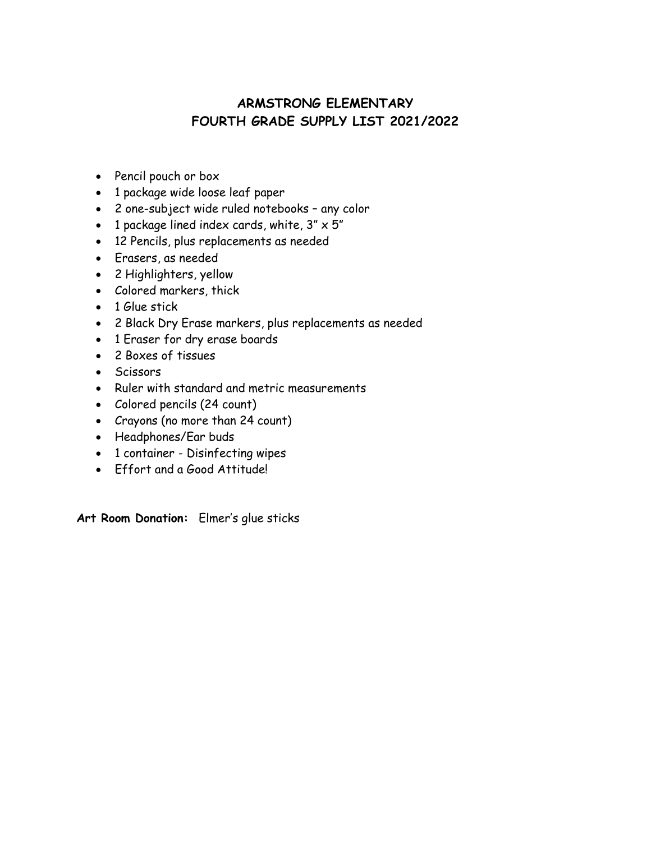#### **ARMSTRONG ELEMENTARY FOURTH GRADE SUPPLY LIST 2021/2022**

- Pencil pouch or box
- 1 package wide loose leaf paper
- 2 one-subject wide ruled notebooks any color
- 1 package lined index cards, white,  $3'' \times 5''$
- 12 Pencils, plus replacements as needed
- Erasers, as needed
- 2 Highlighters, yellow
- Colored markers, thick
- 1 Glue stick
- 2 Black Dry Erase markers, plus replacements as needed
- 1 Eraser for dry erase boards
- 2 Boxes of tissues
- Scissors
- Ruler with standard and metric measurements
- Colored pencils (24 count)
- Crayons (no more than 24 count)
- Headphones/Ear buds
- 1 container Disinfecting wipes
- Effort and a Good Attitude!

**Art Room Donation:** Elmer's glue sticks